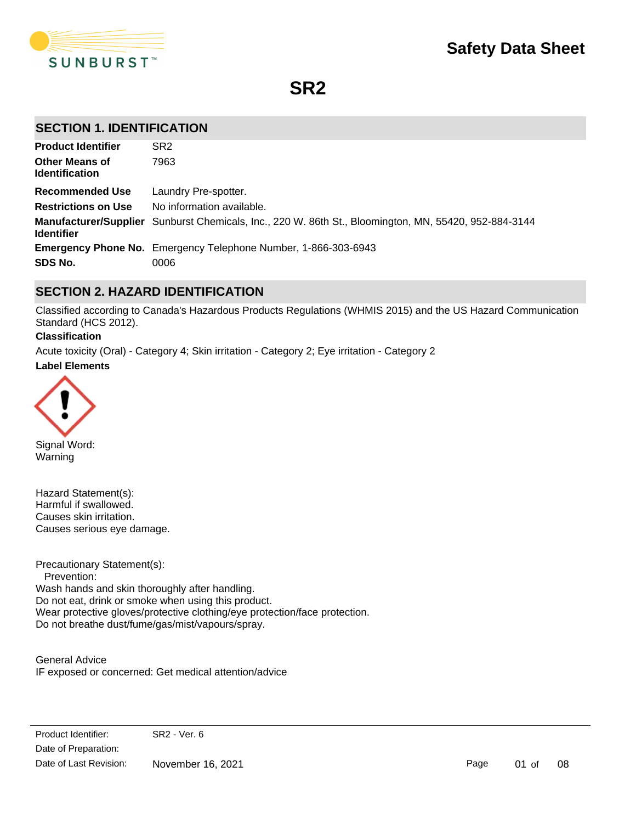

**SR2**

## **SECTION 1. IDENTIFICATION**

| <b>Product Identifier</b>                      | SR <sub>2</sub>                                                                                       |
|------------------------------------------------|-------------------------------------------------------------------------------------------------------|
| <b>Other Means of</b><br><b>Identification</b> | 7963                                                                                                  |
| <b>Recommended Use</b>                         | Laundry Pre-spotter.                                                                                  |
| <b>Restrictions on Use</b>                     | No information available.                                                                             |
| <b>Identifier</b>                              | Manufacturer/Supplier Sunburst Chemicals, Inc., 220 W. 86th St., Bloomington, MN, 55420, 952-884-3144 |
|                                                | <b>Emergency Phone No.</b> Emergency Telephone Number, 1-866-303-6943                                 |
| SDS No.                                        | 0006                                                                                                  |

## **SECTION 2. HAZARD IDENTIFICATION**

Classified according to Canada's Hazardous Products Regulations (WHMIS 2015) and the US Hazard Communication Standard (HCS 2012).

#### **Classification**

**Label Elements** Acute toxicity (Oral) - Category 4; Skin irritation - Category 2; Eye irritation - Category 2



Signal Word: Warning

Hazard Statement(s): Harmful if swallowed. Causes skin irritation. Causes serious eye damage.

Precautionary Statement(s): Prevention: Wash hands and skin thoroughly after handling. Do not eat, drink or smoke when using this product. Wear protective gloves/protective clothing/eye protection/face protection. Do not breathe dust/fume/gas/mist/vapours/spray.

General Advice IF exposed or concerned: Get medical attention/advice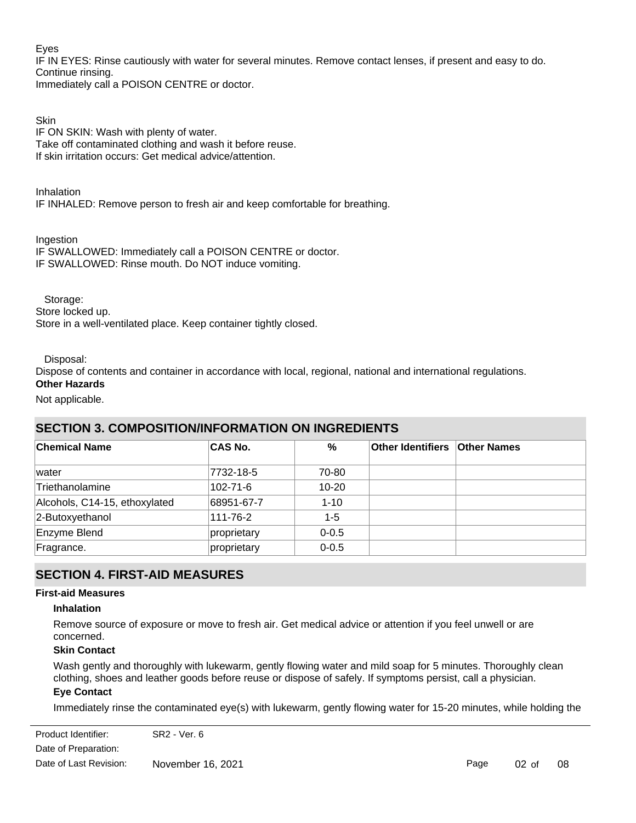## Eyes

IF IN EYES: Rinse cautiously with water for several minutes. Remove contact lenses, if present and easy to do. Continue rinsing.

Immediately call a POISON CENTRE or doctor.

## **Skin**

IF ON SKIN: Wash with plenty of water. Take off contaminated clothing and wash it before reuse. If skin irritation occurs: Get medical advice/attention.

Inhalation IF INHALED: Remove person to fresh air and keep comfortable for breathing.

Ingestion

IF SWALLOWED: Immediately call a POISON CENTRE or doctor. IF SWALLOWED: Rinse mouth. Do NOT induce vomiting.

Storage:

Store locked up.

Store in a well-ventilated place. Keep container tightly closed.

Disposal:

Dispose of contents and container in accordance with local, regional, national and international regulations.

## **Other Hazards**

Not applicable.

## **SECTION 3. COMPOSITION/INFORMATION ON INGREDIENTS**

| <b>Chemical Name</b>          | <b>CAS No.</b> | %         | <b>Other Identifiers Other Names</b> |  |
|-------------------------------|----------------|-----------|--------------------------------------|--|
| lwater                        | 7732-18-5      | 70-80     |                                      |  |
| Triethanolamine               | 102-71-6       | $10 - 20$ |                                      |  |
| Alcohols, C14-15, ethoxylated | 68951-67-7     | $1 - 10$  |                                      |  |
| 2-Butoxyethanol               | 111-76-2       | $1 - 5$   |                                      |  |
| Enzyme Blend                  | proprietary    | $0 - 0.5$ |                                      |  |
| Fragrance.                    | proprietary    | $0 - 0.5$ |                                      |  |

## **SECTION 4. FIRST-AID MEASURES**

### **First-aid Measures**

### **Inhalation**

Remove source of exposure or move to fresh air. Get medical advice or attention if you feel unwell or are concerned.

## **Skin Contact**

Wash gently and thoroughly with lukewarm, gently flowing water and mild soap for 5 minutes. Thoroughly clean clothing, shoes and leather goods before reuse or dispose of safely. If symptoms persist, call a physician.

## **Eye Contact**

Immediately rinse the contaminated eye(s) with lukewarm, gently flowing water for 15-20 minutes, while holding the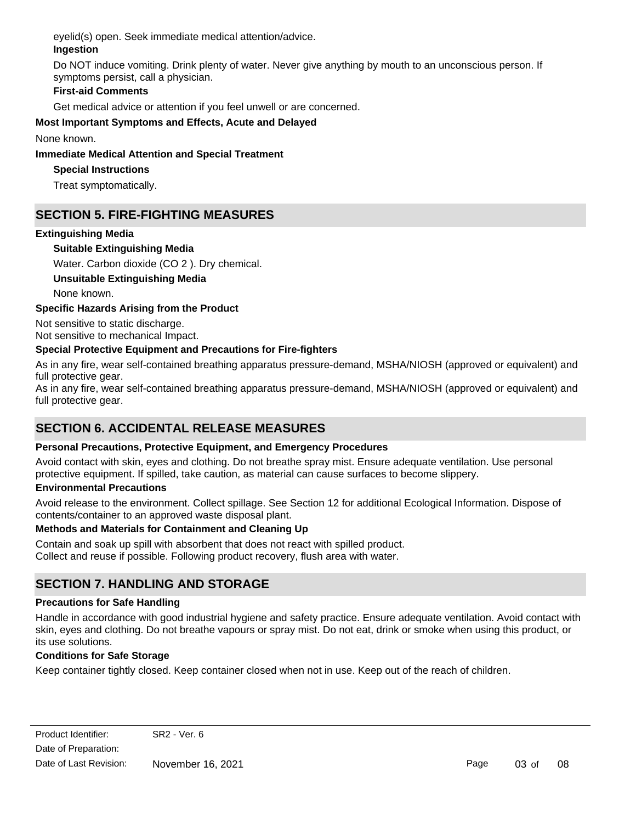eyelid(s) open. Seek immediate medical attention/advice.

## **Ingestion**

Do NOT induce vomiting. Drink plenty of water. Never give anything by mouth to an unconscious person. If symptoms persist, call a physician.

## **First-aid Comments**

Get medical advice or attention if you feel unwell or are concerned.

## **Most Important Symptoms and Effects, Acute and Delayed**

None known.

## **Immediate Medical Attention and Special Treatment**

## **Special Instructions**

Treat symptomatically.

## **SECTION 5. FIRE-FIGHTING MEASURES**

## **Extinguishing Media**

## **Suitable Extinguishing Media**

Water. Carbon dioxide (CO 2 ). Dry chemical.

## **Unsuitable Extinguishing Media**

None known.

## **Specific Hazards Arising from the Product**

Not sensitive to static discharge. Not sensitive to mechanical Impact.

## **Special Protective Equipment and Precautions for Fire-fighters**

As in any fire, wear self-contained breathing apparatus pressure-demand, MSHA/NIOSH (approved or equivalent) and full protective gear.

As in any fire, wear self-contained breathing apparatus pressure-demand, MSHA/NIOSH (approved or equivalent) and full protective gear.

# **SECTION 6. ACCIDENTAL RELEASE MEASURES**

## **Personal Precautions, Protective Equipment, and Emergency Procedures**

Avoid contact with skin, eyes and clothing. Do not breathe spray mist. Ensure adequate ventilation. Use personal protective equipment. If spilled, take caution, as material can cause surfaces to become slippery.

## **Environmental Precautions**

Avoid release to the environment. Collect spillage. See Section 12 for additional Ecological Information. Dispose of contents/container to an approved waste disposal plant.

## **Methods and Materials for Containment and Cleaning Up**

Contain and soak up spill with absorbent that does not react with spilled product. Collect and reuse if possible. Following product recovery, flush area with water.

## **SECTION 7. HANDLING AND STORAGE**

## **Precautions for Safe Handling**

Handle in accordance with good industrial hygiene and safety practice. Ensure adequate ventilation. Avoid contact with skin, eyes and clothing. Do not breathe vapours or spray mist. Do not eat, drink or smoke when using this product, or its use solutions.

## **Conditions for Safe Storage**

Keep container tightly closed. Keep container closed when not in use. Keep out of the reach of children.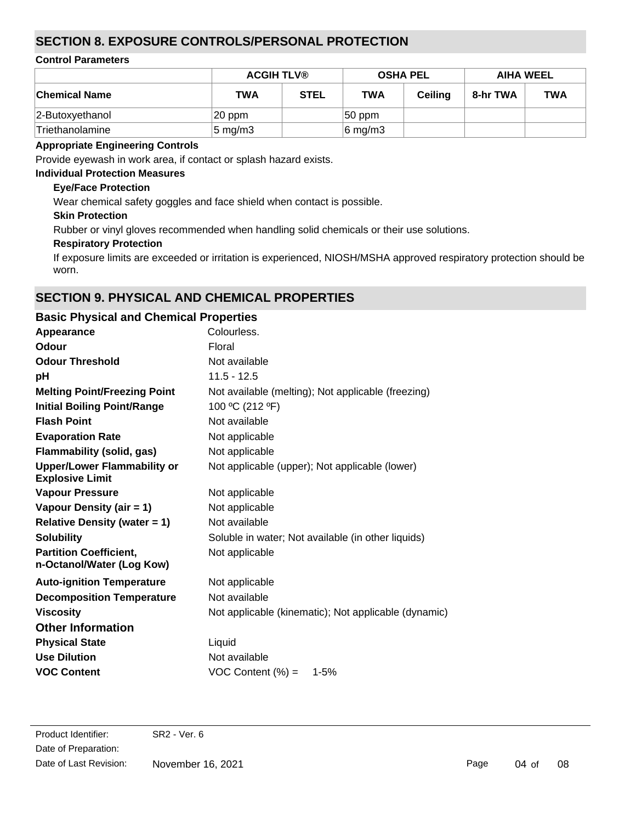## **SECTION 8. EXPOSURE CONTROLS/PERSONAL PROTECTION**

### **Control Parameters**

|                      | <b>ACGIH TLV®</b>  |             | <b>OSHA PEL</b> |         | <b>AIHA WEEL</b> |            |
|----------------------|--------------------|-------------|-----------------|---------|------------------|------------|
| <b>Chemical Name</b> | <b>TWA</b>         | <b>STEL</b> | <b>TWA</b>      | Ceiling | 8-hr TWA         | <b>TWA</b> |
| 2-Butoxyethanol      | 20 ppm             |             | $ 50$ ppm       |         |                  |            |
| Triethanolamine      | $5 \text{ mg/m}$ 3 |             | $6$ mg/m3       |         |                  |            |

## **Appropriate Engineering Controls**

Provide eyewash in work area, if contact or splash hazard exists.

## **Individual Protection Measures**

## **Eye/Face Protection**

Wear chemical safety goggles and face shield when contact is possible.

## **Skin Protection**

Rubber or vinyl gloves recommended when handling solid chemicals or their use solutions.

## **Respiratory Protection**

If exposure limits are exceeded or irritation is experienced, NIOSH/MSHA approved respiratory protection should be worn.

## **SECTION 9. PHYSICAL AND CHEMICAL PROPERTIES**

| <b>Basic Physical and Chemical Properties</b>        |
|------------------------------------------------------|
| Colourless.                                          |
| Floral                                               |
| Not available                                        |
| $11.5 - 12.5$                                        |
| Not available (melting); Not applicable (freezing)   |
| 100 °C (212 °F)                                      |
| Not available                                        |
| Not applicable                                       |
| Not applicable                                       |
| Not applicable (upper); Not applicable (lower)       |
| Not applicable                                       |
| Not applicable                                       |
| Not available                                        |
| Soluble in water; Not available (in other liquids)   |
| Not applicable                                       |
| Not applicable                                       |
| Not available                                        |
| Not applicable (kinematic); Not applicable (dynamic) |
|                                                      |
| Liquid                                               |
| Not available                                        |
| VOC Content $(\%) =$<br>$1 - 5%$                     |
|                                                      |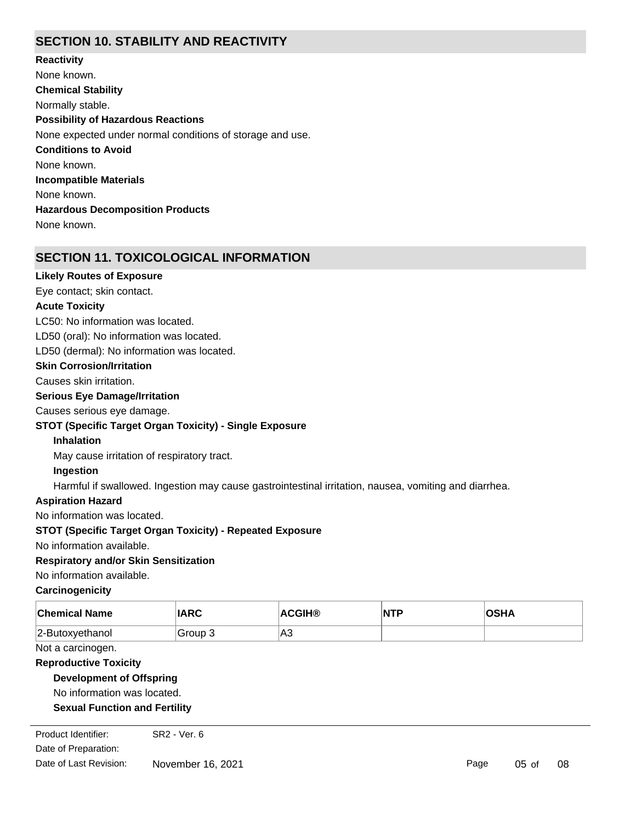## **SECTION 10. STABILITY AND REACTIVITY**

**Chemical Stability** Normally stable. **Conditions to Avoid** None known. **Incompatible Materials** None known. **Hazardous Decomposition Products** None known. **Possibility of Hazardous Reactions** None expected under normal conditions of storage and use. **Reactivity** None known.

## **SECTION 11. TOXICOLOGICAL INFORMATION**

#### **Likely Routes of Exposure**

Eye contact; skin contact.

#### **Acute Toxicity**

LC50: No information was located.

LD50 (oral): No information was located.

LD50 (dermal): No information was located.

#### **Skin Corrosion/Irritation**

Causes skin irritation.

#### **Serious Eye Damage/Irritation**

Causes serious eye damage.

### **STOT (Specific Target Organ Toxicity) - Single Exposure**

**Inhalation**

May cause irritation of respiratory tract.

#### **Ingestion**

Harmful if swallowed. Ingestion may cause gastrointestinal irritation, nausea, vomiting and diarrhea.

### **Aspiration Hazard**

No information was located.

### **STOT (Specific Target Organ Toxicity) - Repeated Exposure**

No information available.

## **Respiratory and/or Skin Sensitization**

No information available.

### **Carcinogenicity**

| <b>Chemical Name</b> | <b>IARC</b> | <b>ACGIH®</b> | <b>NTP</b> | <b>OSHA</b> |
|----------------------|-------------|---------------|------------|-------------|
| 2-Butoxyethanol      | Group 3     | IA3           |            |             |

#### Not a carcinogen.

### **Reproductive Toxicity**

### **Development of Offspring**

No information was located.

## No information was located. **Sexual Function and Fertility**

Date of Preparation: Product Identifier: SR2 - Ver. 6 Date of Last Revision: November 16, 2021

Page 05 of 08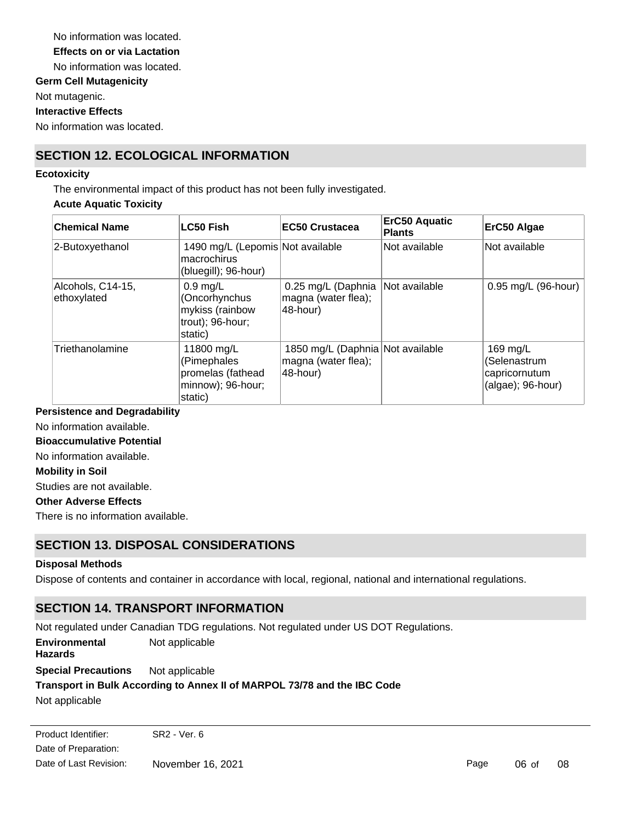No information was located. **Germ Cell Mutagenicity** Not mutagenic. **Effects on or via Lactation** No information was located.

**Interactive Effects**

No information was located.

## **SECTION 12. ECOLOGICAL INFORMATION**

#### **Ecotoxicity**

The environmental impact of this product has not been fully investigated.

#### **Acute Aquatic Toxicity**

| <b>Chemical Name</b>             | <b>LC50 Fish</b>                                                                 | <b>EC50 Crustacea</b>                                                   | <b>ErC50 Aquatic</b><br><b>Plants</b> | ErC50 Algae                                                       |
|----------------------------------|----------------------------------------------------------------------------------|-------------------------------------------------------------------------|---------------------------------------|-------------------------------------------------------------------|
| 2-Butoxyethanol                  | 1490 mg/L (Lepomis Not available<br>macrochirus<br>(bluegill); 96-hour)          |                                                                         | Not available                         | Not available                                                     |
| Alcohols, C14-15,<br>ethoxylated | $0.9$ mg/L<br>(Oncorhynchus<br>mykiss (rainbow<br>trout); $96$ -hour;<br>static) | 0.25 mg/L (Daphnia<br>magna (water flea);<br>48-hour)                   | Not available                         | 0.95 mg/L (96-hour)                                               |
| Triethanolamine                  | 11800 mg/L<br>(Pimephales<br>promelas (fathead<br>minnow); 96-hour;<br>static)   | 1850 mg/L (Daphnia Not available<br>magna (water flea);<br>$ 48$ -hour) |                                       | 169 mg/L<br>(Selenastrum<br>capricornutum<br>$(algae)$ ; 96-hour) |

#### **Persistence and Degradability**

No information available.

**Bioaccumulative Potential**

No information available.

### **Mobility in Soil**

Studies are not available.

#### **Other Adverse Effects**

There is no information available.

## **SECTION 13. DISPOSAL CONSIDERATIONS**

### **Disposal Methods**

Dispose of contents and container in accordance with local, regional, national and international regulations.

## **SECTION 14. TRANSPORT INFORMATION**

Not regulated under Canadian TDG regulations. Not regulated under US DOT Regulations. **Special Precautions** Not applicable **Environmental Hazards** Not applicable

# **Transport in Bulk According to Annex II of MARPOL 73/78 and the IBC Code**

Not applicable

Date of Preparation: Product Identifier: SR2 - Ver. 6 Date of Last Revision: November 16, 2021

Page 06 of 08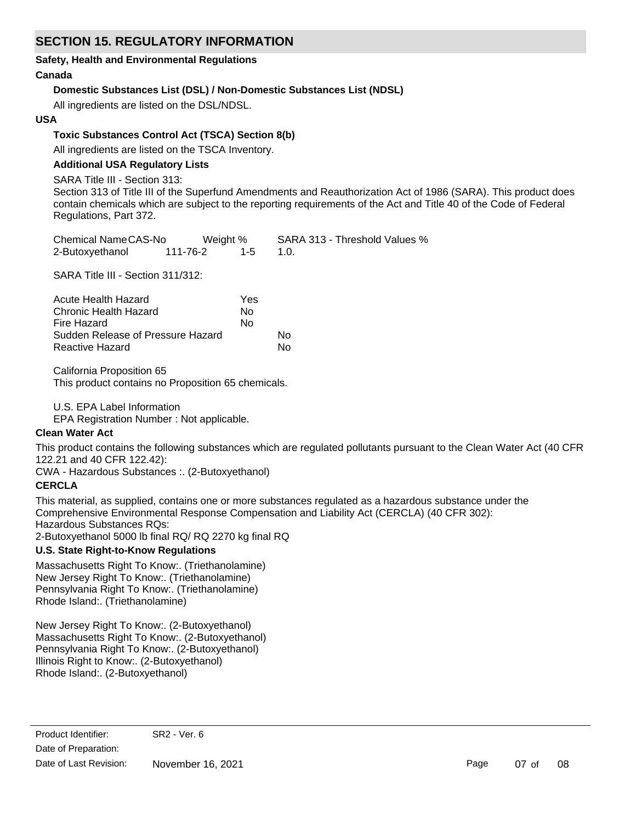## **SECTION 15. REGULATORY INFORMATION**

#### **Safety, Health and Environmental Regulations**

### **Canada**

## **Domestic Substances List (DSL) / Non-Domestic Substances List (NDSL)**

All ingredients are listed on the DSL/NDSL.

## **USA**

## **Toxic Substances Control Act (TSCA) Section 8(b)**

All ingredients are listed on the TSCA Inventory.

### **Additional USA Regulatory Lists**

SARA Title III - Section 313:

Section 313 of Title III of the Superfund Amendments and Reauthorization Act of 1986 (SARA). This product does contain chemicals which are subject to the reporting requirements of the Act and Title 40 of the Code of Federal Regulations, Part 372.

| Chemical NameCAS-No |          | Weight % | SARA 313 - Threshold Values % |
|---------------------|----------|----------|-------------------------------|
| 2-Butoxyethanol     | 111-76-2 | $1 - 5$  |                               |

SARA Title III - Section 311/312:

| Acute Health Hazard               | Yes |    |
|-----------------------------------|-----|----|
| Chronic Health Hazard             | N٥  |    |
| Fire Hazard                       | No  |    |
| Sudden Release of Pressure Hazard |     | N٥ |
| Reactive Hazard                   |     | N٥ |

California Proposition 65

This product contains no Proposition 65 chemicals.

U.S. EPA Label Information

EPA Registration Number : Not applicable.

### **Clean Water Act**

This product contains the following substances which are regulated pollutants pursuant to the Clean Water Act (40 CFR 122.21 and 40 CFR 122.42):

CWA - Hazardous Substances :. (2-Butoxyethanol)

### **CERCLA**

This material, as supplied, contains one or more substances regulated as a hazardous substance under the Comprehensive Environmental Response Compensation and Liability Act (CERCLA) (40 CFR 302): Hazardous Substances RQs:

2-Butoxyethanol 5000 lb final RQ/ RQ 2270 kg final RQ

### **U.S. State Right-to-Know Regulations**

Massachusetts Right To Know:. (Triethanolamine) New Jersey Right To Know:. (Triethanolamine) Pennsylvania Right To Know:. (Triethanolamine) Rhode Island:. (Triethanolamine)

New Jersey Right To Know:. (2-Butoxyethanol) Massachusetts Right To Know:. (2-Butoxyethanol) Pennsylvania Right To Know:. (2-Butoxyethanol) Illinois Right to Know:. (2-Butoxyethanol) Rhode Island:. (2-Butoxyethanol)